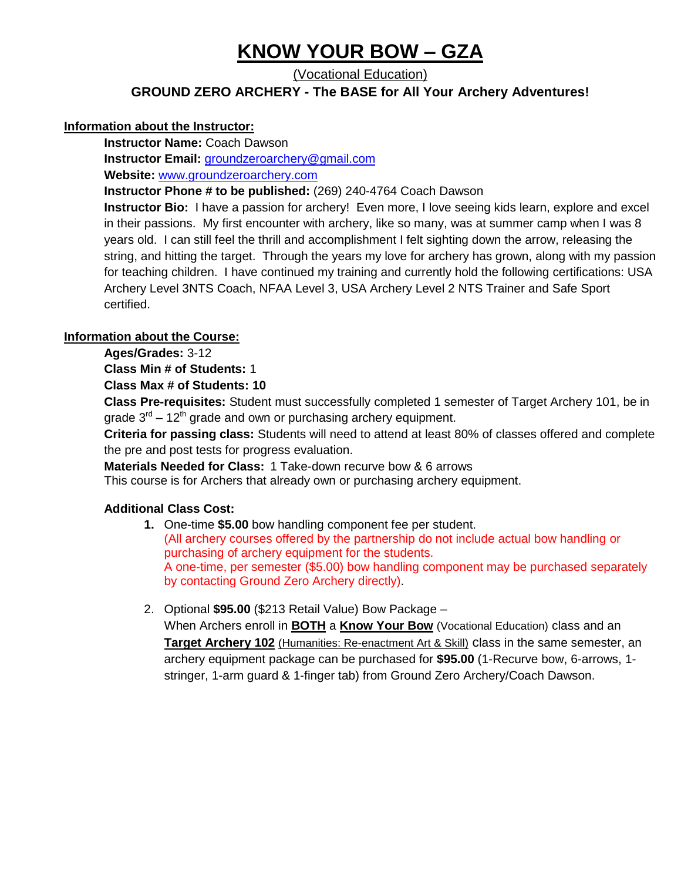# **KNOW YOUR BOW – GZA**

(Vocational Education)

**GROUND ZERO ARCHERY - The BASE for All Your Archery Adventures!**

#### **Information about the Instructor:**

**Instructor Name:** Coach Dawson

**Instructor Email:** [groundzeroarchery@gmail.com](mailto:groundzeroarchery@gmail.com)

**Website:** [www.groundzeroarchery.com](http://www.groundzeroarchery.com/)

**Instructor Phone # to be published:** (269) 240-4764 Coach Dawson

**Instructor Bio:** I have a passion for archery! Even more, I love seeing kids learn, explore and excel in their passions. My first encounter with archery, like so many, was at summer camp when I was 8 years old. I can still feel the thrill and accomplishment I felt sighting down the arrow, releasing the string, and hitting the target. Through the years my love for archery has grown, along with my passion for teaching children. I have continued my training and currently hold the following certifications: USA Archery Level 3NTS Coach, NFAA Level 3, USA Archery Level 2 NTS Trainer and Safe Sport certified.

#### **Information about the Course:**

**Ages/Grades:** 3-12

**Class Min # of Students:** 1

**Class Max # of Students: 10**

**Class Pre-requisites:** Student must successfully completed 1 semester of Target Archery 101, be in grade  $3<sup>rd</sup> - 12<sup>th</sup>$  grade and own or purchasing archery equipment.

**Criteria for passing class:** Students will need to attend at least 80% of classes offered and complete the pre and post tests for progress evaluation.

**Materials Needed for Class:** 1 Take-down recurve bow & 6 arrows

This course is for Archers that already own or purchasing archery equipment.

#### **Additional Class Cost:**

- **1.** One-time **\$5.00** bow handling component fee per student. (All archery courses offered by the partnership do not include actual bow handling or purchasing of archery equipment for the students. A one-time, per semester (\$5.00) bow handling component may be purchased separately by contacting Ground Zero Archery directly).
- 2. Optional **\$95.00** (\$213 Retail Value) Bow Package –

When Archers enroll in **BOTH** a **Know Your Bow** (Vocational Education) class and an **Target Archery 102** (Humanities: Re-enactment Art & Skill) class in the same semester, an archery equipment package can be purchased for **\$95.00** (1-Recurve bow, 6-arrows, 1 stringer, 1-arm guard & 1-finger tab) from Ground Zero Archery/Coach Dawson.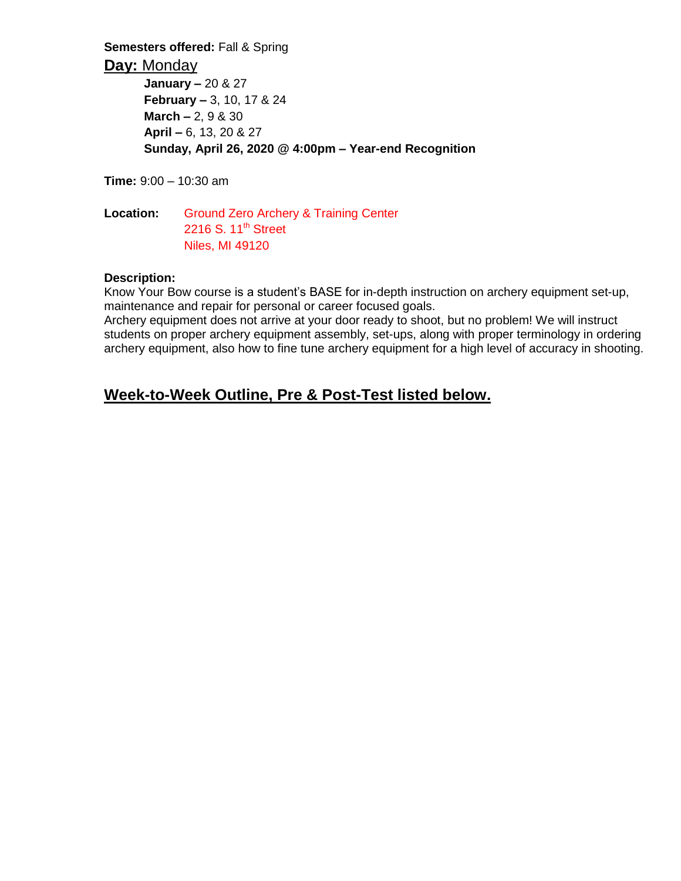**Semesters offered:** Fall & Spring

**Day:** Monday

**January –** 20 & 27 **February –** 3, 10, 17 & 24 **March –** 2, 9 & 30 **April –** 6, 13, 20 & 27 **Sunday, April 26, 2020 @ 4:00pm – Year-end Recognition**

**Time:** 9:00 – 10:30 am

**Location:** Ground Zero Archery & Training Center 2216 S. 11<sup>th</sup> Street Niles, MI 49120

#### **Description:**

Know Your Bow course is a student's BASE for in-depth instruction on archery equipment set-up, maintenance and repair for personal or career focused goals.

Archery equipment does not arrive at your door ready to shoot, but no problem! We will instruct students on proper archery equipment assembly, set-ups, along with proper terminology in ordering archery equipment, also how to fine tune archery equipment for a high level of accuracy in shooting.

# **Week-to-Week Outline, Pre & Post-Test listed below.**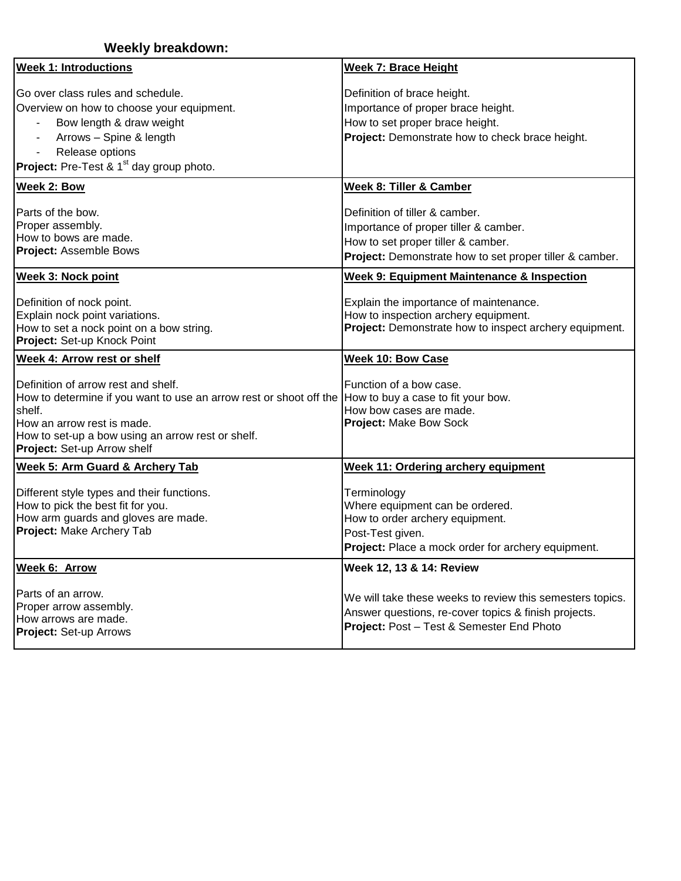| <b>Weekly breakdown:</b>                                                                                                                                                                                                              |                                                                                                                                                                          |  |  |  |
|---------------------------------------------------------------------------------------------------------------------------------------------------------------------------------------------------------------------------------------|--------------------------------------------------------------------------------------------------------------------------------------------------------------------------|--|--|--|
| <b>Week 1: Introductions</b>                                                                                                                                                                                                          | <b>Week 7: Brace Height</b>                                                                                                                                              |  |  |  |
| Go over class rules and schedule.<br>Overview on how to choose your equipment.<br>Bow length & draw weight<br>Arrows - Spine & length<br>Release options<br><b>Project:</b> Pre-Test & 1 <sup>st</sup> day group photo.               | Definition of brace height.<br>Importance of proper brace height.<br>How to set proper brace height.<br>Project: Demonstrate how to check brace height.                  |  |  |  |
| Week 2: Bow                                                                                                                                                                                                                           | Week 8: Tiller & Camber                                                                                                                                                  |  |  |  |
| Parts of the bow.<br>Proper assembly.<br>How to bows are made.<br>Project: Assemble Bows                                                                                                                                              | Definition of tiller & camber.<br>Importance of proper tiller & camber.<br>How to set proper tiller & camber.<br>Project: Demonstrate how to set proper tiller & camber. |  |  |  |
| <b>Week 3: Nock point</b>                                                                                                                                                                                                             | <b>Week 9: Equipment Maintenance &amp; Inspection</b>                                                                                                                    |  |  |  |
| Definition of nock point.<br>Explain nock point variations.<br>How to set a nock point on a bow string.<br>Project: Set-up Knock Point                                                                                                | Explain the importance of maintenance.<br>How to inspection archery equipment.<br>Project: Demonstrate how to inspect archery equipment.                                 |  |  |  |
| <b>Week 4: Arrow rest or shelf</b>                                                                                                                                                                                                    | <b>Week 10: Bow Case</b>                                                                                                                                                 |  |  |  |
| Definition of arrow rest and shelf.<br>How to determine if you want to use an arrow rest or shoot off the<br>shelf.<br>How an arrow rest is made.<br>How to set-up a bow using an arrow rest or shelf.<br>Project: Set-up Arrow shelf | Function of a bow case.<br>How to buy a case to fit your bow.<br>How bow cases are made.<br>Project: Make Bow Sock                                                       |  |  |  |
| Week 5: Arm Guard & Archery Tab                                                                                                                                                                                                       | <b>Week 11: Ordering archery equipment</b>                                                                                                                               |  |  |  |
| Different style types and their functions.<br>How to pick the best fit for you.<br>How arm guards and gloves are made.<br>Project: Make Archery Tab                                                                                   | Terminology<br>Where equipment can be ordered.<br>How to order archery equipment.<br>Post-Test given.<br>Project: Place a mock order for archery equipment.              |  |  |  |
| Week 6: Arrow                                                                                                                                                                                                                         | Week 12, 13 & 14: Review                                                                                                                                                 |  |  |  |
| Parts of an arrow.<br>Proper arrow assembly.<br>How arrows are made.<br>Project: Set-up Arrows                                                                                                                                        | We will take these weeks to review this semesters topics.<br>Answer questions, re-cover topics & finish projects.<br>Project: Post - Test & Semester End Photo           |  |  |  |